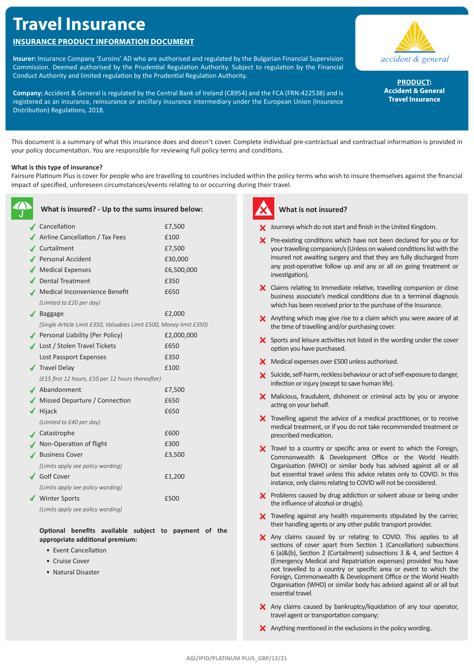# **Travel Insurance**

# **INSURANCE PRODUCT INFORMATION DOCUMENT**

**Insurer:** Insurance Company 'Euroins' AD who are authorised and regulated by the Bulgarian Financial Supervision Commission. Deemed authorised by the Prudential Regulation Authority. Subject to regulation by the Financial Conduct Authority and limited regulation by the Prudential Regulation Authority.

**Company:** Accident & General is regulated by the Central Bank of Ireland (C8954) and the FCA (FRN:422538) and is registered as an insurance, reinsurance or ancillary insurance intermediary under the European Union (Insurance Distribution) Regulations, 2018.



**PRODUCT: Accident & General Travel Insurance**

This document is a summary of what this insurance does and doesn't cover. Complete individual pre-contractual and contractual information is provided in your policy documentation. You are responsible for reviewing full policy terms and conditions.

# **What is this type of insurance?**

Fairsure Platinum Plus is cover for people who are travelling to countries included within the policy terms who wish to insure themselves against the financial impact of specified, unforeseen circumstances/events relating to or occurring during their travel.

|   | What is insured? - Up to the sums insured below:                    |            |
|---|---------------------------------------------------------------------|------------|
| ◢ | Cancellation                                                        | £7,500     |
|   | Airline Cancellation / Tax Fees                                     | £100       |
|   | <b>∕</b> Curtailment                                                | £7,500     |
|   | Personal Accident                                                   | £30,000    |
|   | ◆ Medical Expenses                                                  | £6,500,000 |
|   | ✔ Dental Treatment                                                  | £350       |
|   | Medical Inconvenience Benefit                                       | £650       |
|   | (Limited to £20 per day)                                            |            |
|   | $\sqrt{\phantom{a}}$ Baggage                                        | £2,000     |
|   | (Single Article Limit £350, Valuables Limit £500, Money limit £350) |            |
|   | Personal Liability (Per Policy)                                     | £2,000,000 |
|   | ◆ Lost / Stolen Travel Tickets                                      | £650       |
|   | Lost Passport Expenses                                              | £350       |
|   | √ Travel Delay                                                      | £100       |
|   | (£15 first 12 hours, £10 per 12 hours thereafter)                   |            |
|   | ✔ Abandonment                                                       | £7,500     |
|   | Missed Departure / Connection                                       | £650       |
|   | $\blacktriangledown$ Hijack                                         | £650       |
|   | (Limited to £40 per day)                                            |            |
|   | ✔ Catastrophe                                                       | £600       |
|   | Non-Operation of flight                                             | £300       |
|   | <b>Business Cover</b>                                               | £3,500     |
|   | (Limits apply see policy wording)                                   |            |
|   | ✔ Golf Cover                                                        | £1,200     |
|   | (Limits apply see policy wording)                                   |            |
|   | <b>Winter Sports</b>                                                | £500       |
|   | (Limits apply see policy wording)                                   |            |

**Optional benefits available subject to payment of the** 

- **appropriate additional premium:** • Event Cancellation
	-
	- Cruise Cover
	- Natural Disaster



# **What is not insured?**

- **X** Journeys which do not start and finish in the United Kingdom.
- $\times$  Pre-existing conditions which have not been declared for you or for your travelling companion/s (Unless on waived conditions list with the insured not awaiting surgery and that they are fully discharged from any post-operative follow up and any or all on going treatment or investigation).
- X Claims relating to Immediate relative, travelling companion or close business associate's medical conditions due to a terminal diagnosis which has been received prior to the purchase of the Insurance.
- $\times$  Anything which may give rise to a claim which you were aware of at the time of travelling and/or purchasing cover.
- $\boldsymbol{\times}$  Sports and leisure activities not listed in the wording under the cover option you have purchased.
- **X** Medical expenses over £500 unless authorised.
- Suicide, self-harm, reckless behaviour or act of self-exposure to danger, infection or injury (except to save human life).
- $\times$  Malicious, fraudulent, dishonest or criminal acts by you or anyone acting on your behalf.
- $\boldsymbol{\times}$  Travelling against the advice of a medical practitioner, or to receive medical treatment, or if you do not take recommended treatment or prescribed medication.
- X Travel to a country or specific area or event to which the Foreign, Commonwealth & Development Office or the World Health Organisation (WHO) or similar body has advised against all or all but essential travel unless this advice relates only to COVID. In this instance, only claims relating to COVID will not be considered.
- **X** Problems caused by drug addiction or solvent abuse or being under the influence of alcohol or drug(s).
- $\times$  Traveling against any health requirements stipulated by the carrier, their handling agents or any other public transport provider.
- X Any claims caused by or relating to COVID. This applies to all sections of cover apart from Section 1 (Cancellation) subsections 6 (a)&(b), Section 2 (Curtailment) subsections 3 & 4, and Section 4 (Emergency Medical and Repatriation expenses) provided You have not travelled to a country or specific area or event to which the Foreign, Commonwealth & Development Office or the World Health Organisation (WHO) or similar body has advised against all or all but essential travel.
- $\times$  Any claims caused by bankruptcy/liquidation of any tour operator, travel agent or transportation company;
- $\boldsymbol{\times}$  Anything mentioned in the exclusions in the policy wording.